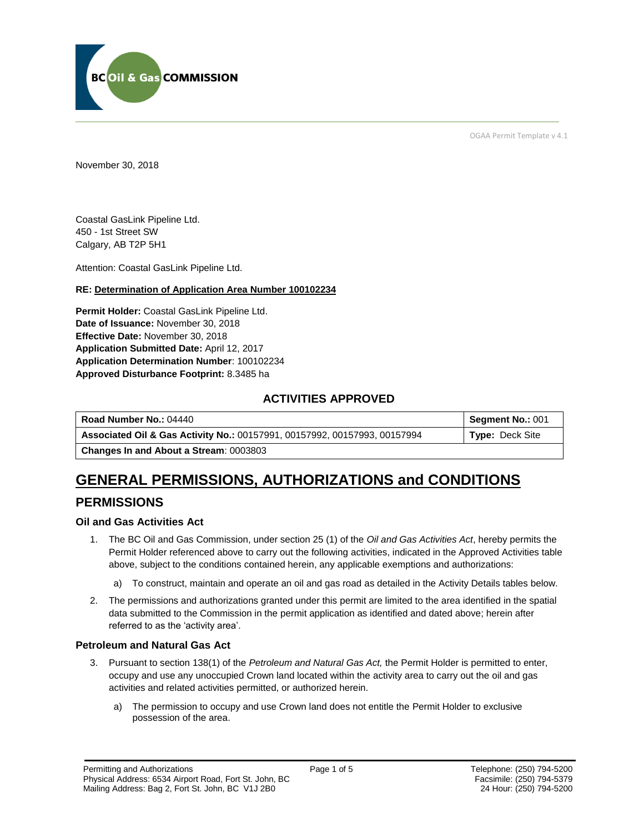

OGAA Permit Template v 4.1

November 30, 2018

Coastal GasLink Pipeline Ltd. 450 - 1st Street SW Calgary, AB T2P 5H1

Attention: Coastal GasLink Pipeline Ltd.

#### **RE: Determination of Application Area Number 100102234**

**Permit Holder:** Coastal GasLink Pipeline Ltd. **Date of Issuance:** November 30, 2018 **Effective Date:** November 30, 2018 **Application Submitted Date:** April 12, 2017 **Application Determination Number**: 100102234 **Approved Disturbance Footprint:** 8.3485 ha

## **ACTIVITIES APPROVED**

| Road Number No.: 04440                                                    | Segment No.: 001 |
|---------------------------------------------------------------------------|------------------|
| Associated Oil & Gas Activity No.: 00157991, 00157992, 00157993, 00157994 | Type: Deck Site  |
| <b>Changes In and About a Stream: 0003803</b>                             |                  |

# **GENERAL PERMISSIONS, AUTHORIZATIONS and CONDITIONS**

## **PERMISSIONS**

#### **Oil and Gas Activities Act**

- 1. The BC Oil and Gas Commission, under section 25 (1) of the *Oil and Gas Activities Act*, hereby permits the Permit Holder referenced above to carry out the following activities, indicated in the Approved Activities table above, subject to the conditions contained herein, any applicable exemptions and authorizations:
	- a) To construct, maintain and operate an oil and gas road as detailed in the Activity Details tables below.
- 2. The permissions and authorizations granted under this permit are limited to the area identified in the spatial data submitted to the Commission in the permit application as identified and dated above; herein after referred to as the 'activity area'.

#### **Petroleum and Natural Gas Act**

- 3. Pursuant to section 138(1) of the *Petroleum and Natural Gas Act,* the Permit Holder is permitted to enter, occupy and use any unoccupied Crown land located within the activity area to carry out the oil and gas activities and related activities permitted, or authorized herein.
	- a) The permission to occupy and use Crown land does not entitle the Permit Holder to exclusive possession of the area.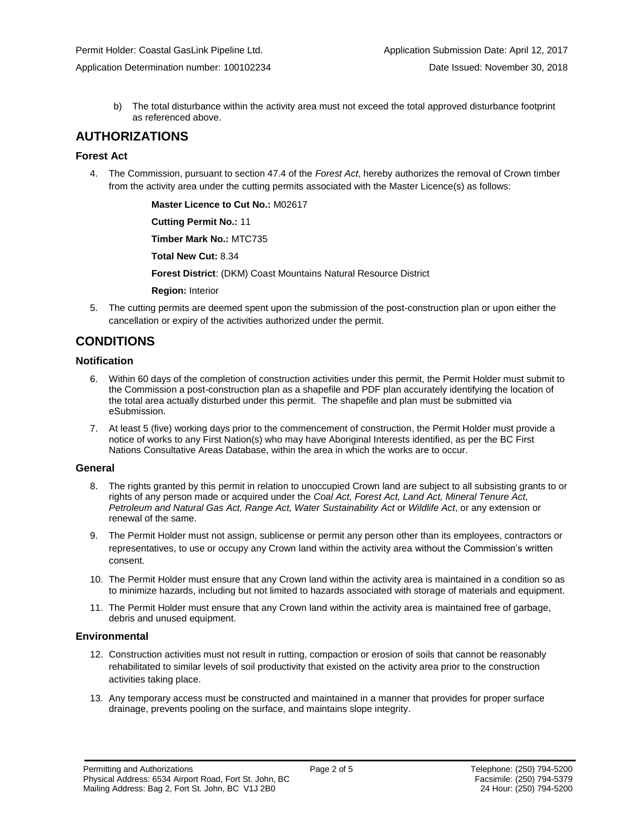Application Determination number: 100102234 Date Issued: November 30, 2018

b) The total disturbance within the activity area must not exceed the total approved disturbance footprint as referenced above.

## **AUTHORIZATIONS**

#### **Forest Act**

4. The Commission, pursuant to section 47.4 of the *Forest Act*, hereby authorizes the removal of Crown timber from the activity area under the cutting permits associated with the Master Licence(s) as follows:

**Master Licence to Cut No.:** M02617

**Cutting Permit No.:** 11

**Timber Mark No.:** MTC735

**Total New Cut:** 8.34

**Forest District**: (DKM) Coast Mountains Natural Resource District

**Region:** Interior

5. The cutting permits are deemed spent upon the submission of the post-construction plan or upon either the cancellation or expiry of the activities authorized under the permit.

## **CONDITIONS**

#### **Notification**

- 6. Within 60 days of the completion of construction activities under this permit, the Permit Holder must submit to the Commission a post-construction plan as a shapefile and PDF plan accurately identifying the location of the total area actually disturbed under this permit. The shapefile and plan must be submitted via eSubmission.
- 7. At least 5 (five) working days prior to the commencement of construction, the Permit Holder must provide a notice of works to any First Nation(s) who may have Aboriginal Interests identified, as per the BC First Nations Consultative Areas Database, within the area in which the works are to occur.

#### **General**

- 8. The rights granted by this permit in relation to unoccupied Crown land are subject to all subsisting grants to or rights of any person made or acquired under the *Coal Act, Forest Act, Land Act, Mineral Tenure Act, Petroleum and Natural Gas Act, Range Act, Water Sustainability Act* or *Wildlife Act*, or any extension or renewal of the same.
- 9. The Permit Holder must not assign, sublicense or permit any person other than its employees, contractors or representatives, to use or occupy any Crown land within the activity area without the Commission's written consent.
- 10. The Permit Holder must ensure that any Crown land within the activity area is maintained in a condition so as to minimize hazards, including but not limited to hazards associated with storage of materials and equipment.
- 11. The Permit Holder must ensure that any Crown land within the activity area is maintained free of garbage, debris and unused equipment.

#### **Environmental**

- 12. Construction activities must not result in rutting, compaction or erosion of soils that cannot be reasonably rehabilitated to similar levels of soil productivity that existed on the activity area prior to the construction activities taking place.
- 13. Any temporary access must be constructed and maintained in a manner that provides for proper surface drainage, prevents pooling on the surface, and maintains slope integrity.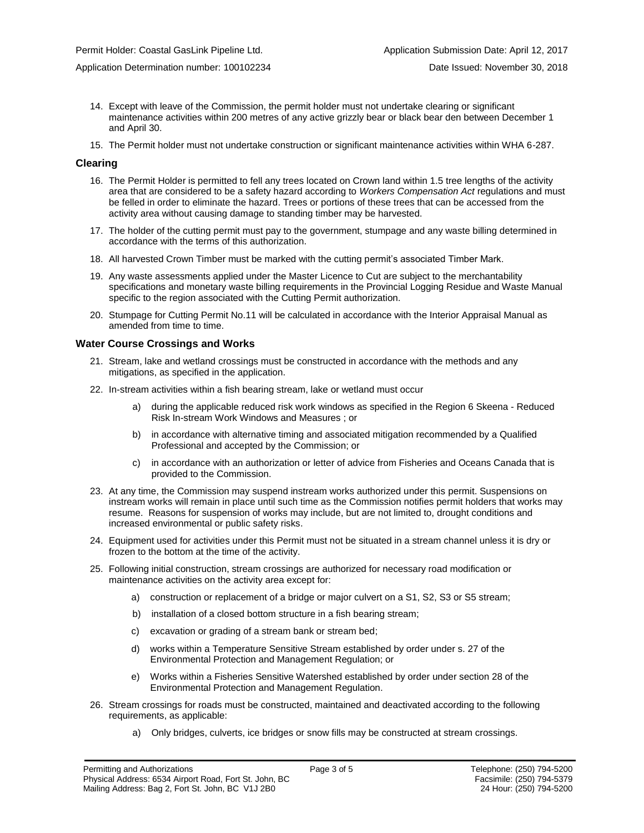Application Determination number: 100102234 Date Issued: November 30, 2018

- 14. Except with leave of the Commission, the permit holder must not undertake clearing or significant maintenance activities within 200 metres of any active grizzly bear or black bear den between December 1 and April 30.
- 15. The Permit holder must not undertake construction or significant maintenance activities within WHA 6-287.

#### **Clearing**

- 16. The Permit Holder is permitted to fell any trees located on Crown land within 1.5 tree lengths of the activity area that are considered to be a safety hazard according to *Workers Compensation Act* regulations and must be felled in order to eliminate the hazard. Trees or portions of these trees that can be accessed from the activity area without causing damage to standing timber may be harvested.
- 17. The holder of the cutting permit must pay to the government, stumpage and any waste billing determined in accordance with the terms of this authorization.
- 18. All harvested Crown Timber must be marked with the cutting permit's associated Timber Mark.
- 19. Any waste assessments applied under the Master Licence to Cut are subject to the merchantability specifications and monetary waste billing requirements in the Provincial Logging Residue and Waste Manual specific to the region associated with the Cutting Permit authorization.
- 20. Stumpage for Cutting Permit No.11 will be calculated in accordance with the Interior Appraisal Manual as amended from time to time.

#### **Water Course Crossings and Works**

- 21. Stream, lake and wetland crossings must be constructed in accordance with the methods and any mitigations, as specified in the application.
- 22. In-stream activities within a fish bearing stream, lake or wetland must occur
	- a) during the applicable reduced risk work windows as specified in the Region 6 Skeena Reduced Risk In-stream Work Windows and Measures ; or
	- b) in accordance with alternative timing and associated mitigation recommended by a Qualified Professional and accepted by the Commission; or
	- c) in accordance with an authorization or letter of advice from Fisheries and Oceans Canada that is provided to the Commission.
- 23. At any time, the Commission may suspend instream works authorized under this permit. Suspensions on instream works will remain in place until such time as the Commission notifies permit holders that works may resume. Reasons for suspension of works may include, but are not limited to, drought conditions and increased environmental or public safety risks.
- 24. Equipment used for activities under this Permit must not be situated in a stream channel unless it is dry or frozen to the bottom at the time of the activity.
- 25. Following initial construction, stream crossings are authorized for necessary road modification or maintenance activities on the activity area except for:
	- a) construction or replacement of a bridge or major culvert on a S1, S2, S3 or S5 stream;
	- b) installation of a closed bottom structure in a fish bearing stream;
	- c) excavation or grading of a stream bank or stream bed;
	- d) works within a Temperature Sensitive Stream established by order under s. 27 of the Environmental Protection and Management Regulation; or
	- e) Works within a Fisheries Sensitive Watershed established by order under section 28 of the Environmental Protection and Management Regulation.
- 26. Stream crossings for roads must be constructed, maintained and deactivated according to the following requirements, as applicable:
	- a) Only bridges, culverts, ice bridges or snow fills may be constructed at stream crossings.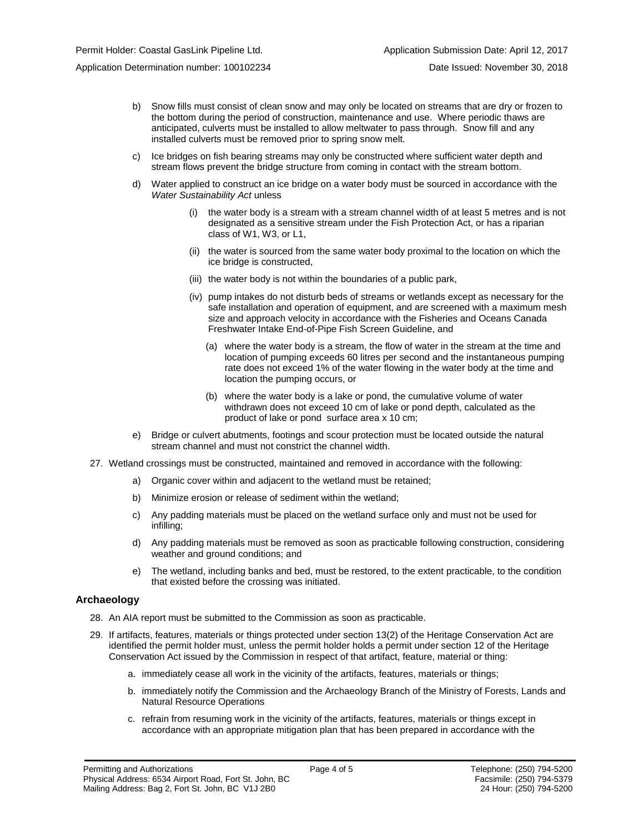- b) Snow fills must consist of clean snow and may only be located on streams that are dry or frozen to the bottom during the period of construction, maintenance and use. Where periodic thaws are anticipated, culverts must be installed to allow meltwater to pass through. Snow fill and any installed culverts must be removed prior to spring snow melt.
- c) Ice bridges on fish bearing streams may only be constructed where sufficient water depth and stream flows prevent the bridge structure from coming in contact with the stream bottom.
- d) Water applied to construct an ice bridge on a water body must be sourced in accordance with the *Water Sustainability Act* unless
	- (i) the water body is a stream with a stream channel width of at least 5 metres and is not designated as a sensitive stream under the Fish Protection Act, or has a riparian class of W1, W3, or L1,
	- (ii) the water is sourced from the same water body proximal to the location on which the ice bridge is constructed,
	- (iii) the water body is not within the boundaries of a public park,
	- (iv) pump intakes do not disturb beds of streams or wetlands except as necessary for the safe installation and operation of equipment, and are screened with a maximum mesh size and approach velocity in accordance with the Fisheries and Oceans Canada Freshwater Intake End-of-Pipe Fish Screen Guideline, and
		- (a) where the water body is a stream, the flow of water in the stream at the time and location of pumping exceeds 60 litres per second and the instantaneous pumping rate does not exceed 1% of the water flowing in the water body at the time and location the pumping occurs, or
		- (b) where the water body is a lake or pond, the cumulative volume of water withdrawn does not exceed 10 cm of lake or pond depth, calculated as the product of lake or pond surface area x 10 cm;
- e) Bridge or culvert abutments, footings and scour protection must be located outside the natural stream channel and must not constrict the channel width.
- 27. Wetland crossings must be constructed, maintained and removed in accordance with the following:
	- a) Organic cover within and adjacent to the wetland must be retained;
	- b) Minimize erosion or release of sediment within the wetland;
	- c) Any padding materials must be placed on the wetland surface only and must not be used for infilling;
	- d) Any padding materials must be removed as soon as practicable following construction, considering weather and ground conditions; and
	- e) The wetland, including banks and bed, must be restored, to the extent practicable, to the condition that existed before the crossing was initiated.

#### **Archaeology**

- 28. An AIA report must be submitted to the Commission as soon as practicable.
- 29. If artifacts, features, materials or things protected under section 13(2) of the Heritage Conservation Act are identified the permit holder must, unless the permit holder holds a permit under section 12 of the Heritage Conservation Act issued by the Commission in respect of that artifact, feature, material or thing:
	- a. immediately cease all work in the vicinity of the artifacts, features, materials or things;
	- b. immediately notify the Commission and the Archaeology Branch of the Ministry of Forests, Lands and Natural Resource Operations
	- c. refrain from resuming work in the vicinity of the artifacts, features, materials or things except in accordance with an appropriate mitigation plan that has been prepared in accordance with the